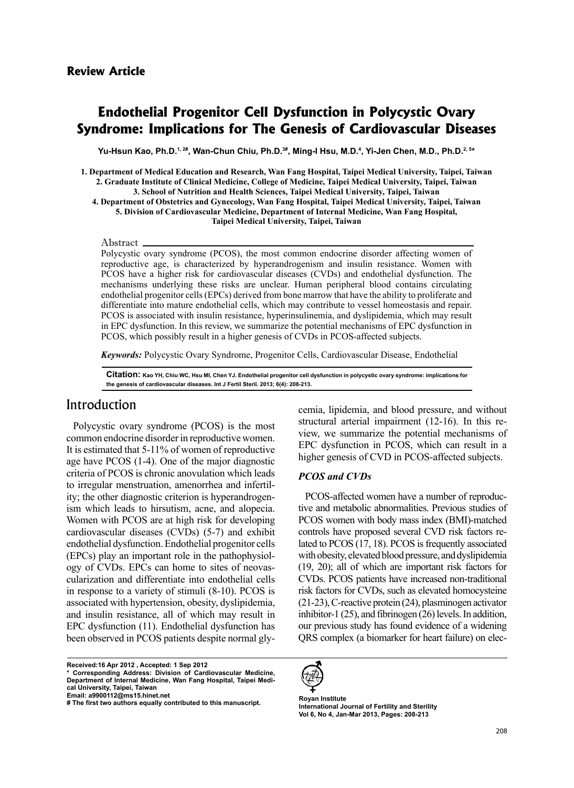# **Endothelial Progenitor Cell Dysfunction in Polycystic Ovary Syndrome: Implications for The Genesis of Cardiovascular Diseases**

Yu-Hsun Kao, Ph.D.<sup>1, 2#</sup>, Wan-Chun Chiu, Ph.D.<sup>3#</sup>, Ming-I Hsu, M.D.<sup>4</sup>, Yi-Jen Chen, M.D., Ph.D.<sup>2, 5×</sup>

1. Department of Medical Education and Research, Wan Fang Hospital, Taipei Medical University, Taipei, Taiwan 2. Graduate Institute of Clinical Medicine, College of Medicine, Taipei Medical University, Taipei, Taiwan 3. School of Nutrition and Health Sciences, Taipei Medical University, Taipei, Taiwan 4. Department of Obstetrics and Gynecology, Wan Fang Hospital, Taipei Medical University, Taipei, Taiwan 5. Division of Cardiovascular Medicine, Department of Internal Medicine, Wan Fang Hospital,

Taipei Medical University, Taipei, Taiwan

#### Abstract.

Polycystic ovary syndrome (PCOS), the most common endocrine disorder affecting women of reproductive age, is characterized by hyperandrogenism and insulin resistance. Women with PCOS have a higher risk for cardiovascular diseases (CVDs) and endothelial dysfunction. The mechanisms underlying these risks are unclear. Human peripheral blood contains circulating end othelial progenitor cells (EPCs) derived from bone marrow that have the ability to proliferate and differentiate into mature endothelial cells, which may contribute to vessel homeostasis and repair. PCOS is associated with insulin resistance, hyperinsulinemia, and dyslipidemia, which may result in EPC dysfunction. In this review, we summarize the potential mechanisms of EPC dysfunction in PCOS, which possibly result in a higher genesis of CVDs in PCOS-affected subjects.

**Keywords:** Polycystic Ovary Syndrome, Progenitor Cells, Cardiovascular Disease, Endothelial

Citation: Kao YH, Chiu WC, Hsu MI, Chen YJ. Endothelial progenitor cell dysfunction in polycystic ovary syndrome: implications for the genesis of cardiovascular diseases. Int J Fertil Steril. 2013; 6(4): 208-213.

### Introduction

Polycystic ovary syndrome (PCOS) is the most common endocrine disorder in reproductive women. It is estimated that 5-11% of women of reproductive age have  $PCOS$  (1-4). One of the major diagnostic criteria of PCOS is chronic anovulation which leads ism which leads to hirsutism, acne, and alopecia. ity; the other diagnostic criterion is hyperandrogento irregular menstruation, amenorrhea and infertil-Women with PCOS are at high risk for developing cardiovascular diseases (CVDs)  $(5-7)$  and exhibit endothelial dysfunction. Endothelial progenitor cells cularization and differentiate into endothelial cells ogy of CVDs. EPCs can home to sites of neovas- $(EPCs)$  play an important role in the pathophysiolin response to a variety of stimuli  $(8-10)$ . PCOS is associated with hypertension, obesity, dyslipidemia, and insulin resistance, all of which may result in  $EPC$  dysfunction  $(11)$ . Endothelial dysfunction has been observed in PCOS patients despite normal gly-<br> **2012** (a biomarker for heart failure) on electived:16 Apr 2012, Accepted: 1 Sep 2012

view, we summarize the potential mechanisms of structural arterial impairment (12-16). In this re-EPC dysfunction in PCOS, which can result in a higher genesis of CVD in PCOS-affected subjects.

#### *CVDs and PCOS*

cemia, lipidemia, and blood pressure, and without<br>structural arterial impairment (12-16). In this re-<br>view, we summarize the potential mechanisms of<br>EPC dysfunction in PCOS, which can result in a<br>higher genesis of CVD in tive and metabolic abnormalities. Previous studies of PCOS-affected women have a number of reproduc-PCOS women with body mass index (BMI)-matched lated to  $PCOS$   $(17, 18)$ .  $PCOS$  is frequently associated controls have proposed several CVD risk factors rewith obesity, elevated blood pressure, and dyslipidemia  $(19, 20)$ ; all of which are important risk factors for CVDs. PCOS patients have increased non-traditional risk factors for CVDs, such as elevated homocysteine  $(21-23)$ , C-reactive protein  $(24)$ , plasminogen activator inhibitor-1  $(25)$ , and fibrinogen  $(26)$  levels. In addition, our previous study has found evidence of a widening QRS complex (a biomarker for heart failure) on elec-



**Royan Institute International Journal of Fertility and Sterility** Vol 6, No 4, Jan-Mar 2013, Pages: 208-213

Received:16 Apr 2012 , Accepted: 1 Sep 2012<br>\* Corresponding Address: Division of Cardiovascular Medicine, Department of Internal Medicine, Wan Fang Hospital, Taipei Medi-<br>cal University, Taipei, Taiwan Email: a9900112@ms15.hinet.net

<sup>#</sup> The first two authors equally contributed to this manuscript.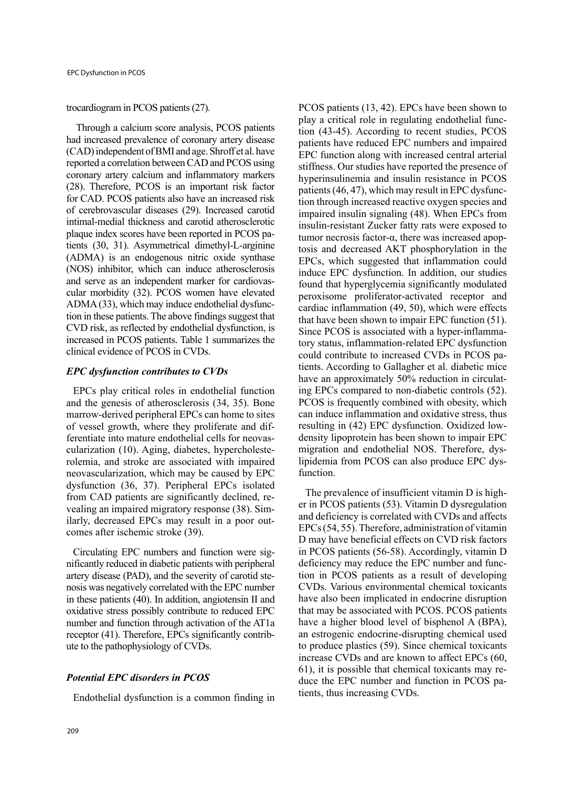#### trocardiogram in PCOS patients (27).

Through a calcium score analysis, PCOS patients had increased prevalence of coronary artery disease (CAD) independent of BMI and age. Shroff et al. have reported a correlation between CAD and PCOS using coronary artery calcium and inflammatory markers  $(28)$ . Therefore, PCOS is an important risk factor for CAD. PCOS patients also have an increased risk of cerebrovascular diseases (29). Increased carotid intimal-medial thickness and carotid atherosclerotic tients (30, 31). Asymmetrical dimethyl-L-arginine plaque index scores have been reported in PCOS pa-(ADMA) is an endogenous nitric oxide synthase (NOS) inhibitor, which can induce atherosclerosis cular morbidity (32). PCOS women have elevated and serve as an independent marker for cardiovastion in these patients. The above findings suggest that  $ADMA(33)$ , which may induce endothelial dysfunc-CVD risk, as reflected by endothelial dysfunction, is increased in PCOS patients. Table 1 summarizes the clinical evidence of PCOS in CVDs.

#### *EPC* dysfunction contributes to CVDs

EPCs play critical roles in endothelial function and the genesis of atherosclerosis  $(34, 35)$ . Bone marrow-derived peripheral EPCs can home to sites rolemia, and stroke are associated with impaired cularization (10). Aging, diabetes, hypercholesteferentiate into mature endothelial cells for neovasof vessel growth, where they proliferate and difneovascularization, which may be caused by EPC dysfunction  $(36, 37)$ . Peripheral EPCs isolated ilarly, decreased EPCs may result in a poor out-<br>comes after ischemic stroke (39). vealing an impaired migratory response (38). Similarly, decreased EPCs may result in a poor outvealing an impaired migratory response (38). Simfrom CAD patients are significantly declined, re-

nificantly reduced in diabetic patients with peripheral Circulating EPC numbers and function were signosis was negatively correlated with the EPC number artery disease (PAD), and the severity of carotid stein these patients  $(40)$ . In addition, angiotensin II and oxidative stress possibly contribute to reduced EPC number and function through activation of the AT1a receptor (41). Therefore, EPCs significantly contribute to the pathophysiology of CVDs.

### **Potential EPC disorders in PCOS**

Endothelial dysfunction is a common finding in

PCOS patients (13, 42). EPCs have been shown to  $\frac{1}{2}$  (43-45). According to recent studies, PCOS play a critical role in regulating endothelial funcpatients have reduced EPC numbers and impaired EPC function along with increased central arterial stiffness. Our studies have reported the presence of hyperinsulinemia and insulin resistance in PCOS tion through increased reactive oxygen species and patients  $(46, 47)$ , which may result in EPC dysfuncimpaired insulin signaling (48). When EPCs from insulin-resistant Zucker fatty rats were exposed to tosis and decreased AKT phosphorylation in the tumor necrosis factor- $α$ , there was increased apop-EPCs, which suggested that inflammation could induce EPC dysfunction. In addition, our studies found that hyperglycemia significantly modulated peroxisome proliferator-activated receptor and cardiac inflammation  $(49, 50)$ , which were effects that have been shown to impair EPC function  $(51)$ . tory status, inflammation-related EPC dysfunction Since PCOS is associated with a hyper-inflammatients. According to Gallagher et al. diabetic mice could contribute to increased CVDs in PCOS paing EPCs compared to non-diabetic controls  $(52)$ . have an approximately 50% reduction in circulat-PCOS is frequently combined with obesity, which can induce inflammation and oxidative stress, thus density lipoprotein has been shown to impair EPC resulting in (42) EPC dysfunction. Oxidized lowlipidemia from PCOS can also produce EPC dys-<br>function. migration and endothelial NOS. Therefore, dys-<br>lipidemia from PCOS can also produce EPC dysmigration and endothelial NOS. Therefore, dys-

er in PCOS patients (53). Vitamin D dysregulation The prevalence of insufficient vitamin D is highand deficiency is correlated with CVDs and affects  $EPCs(54, 55)$ . Therefore, administration of vitamin D may have beneficial effects on CVD risk factors in PCOS patients  $(56-58)$ . Accordingly, vitamin D deficiency may reduce the EPC number and func-<br>tion in PCOS patients as a result of developing CVDs. Various environmental chemical toxicants have also been implicated in endocrine disruption that may be associated with PCOS. PCOS patients have a higher blood level of bisphenol A (BPA), an estrogenic endocrine-disrupting chemical used to produce plastics  $(59)$ . Since chemical toxicants increase CVDs and are known to affect  $EPCs$  (60, duce the EPC number and function in PCOS patients, thus increasing CVDs. 61), it is possible that chemical toxicants may reduce the EPC number and function in PCOS pa- $\sigma$  may to it is possible that chemical toxicants may re-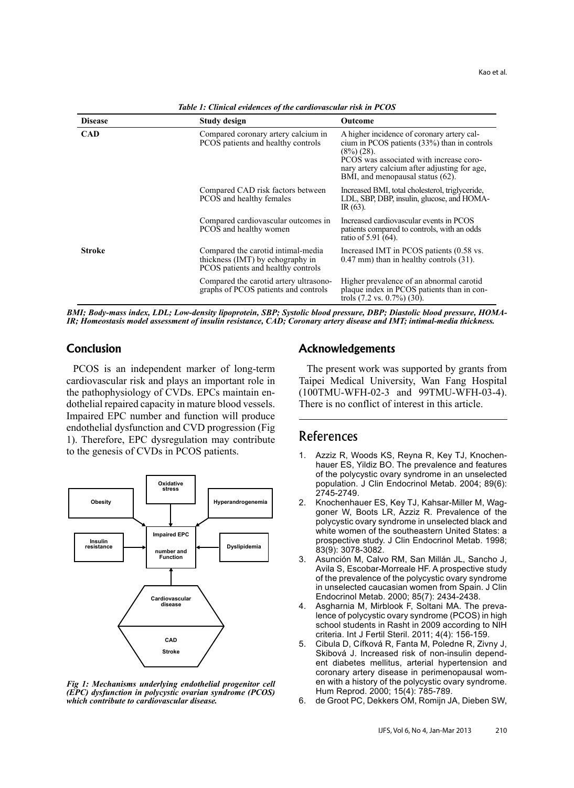| <b>Disease</b> | <b>Study design</b>                                                                                          | Outcome                                                                                                                                                                                                                                     |
|----------------|--------------------------------------------------------------------------------------------------------------|---------------------------------------------------------------------------------------------------------------------------------------------------------------------------------------------------------------------------------------------|
| <b>CAD</b>     | Compared coronary artery calcium in<br>PCOS patients and healthy controls                                    | A higher incidence of coronary artery cal-<br>cium in PCOS patients (33%) than in controls<br>$(8\%) (28)$ .<br>PCOS was associated with increase coro-<br>nary artery calcium after adjusting for age,<br>BMI, and menopausal status (62). |
|                | Compared CAD risk factors between<br>PCOS and healthy females                                                | Increased BMI, total cholesterol, triglyceride,<br>LDL, SBP, DBP, insulin, glucose, and HOMA-<br>$IR(63)$ .                                                                                                                                 |
|                | Compared cardiovascular outcomes in<br>PCOS and healthy women                                                | Increased cardiovascular events in PCOS<br>patients compared to controls, with an odds<br>ratio of 5.91 (64).                                                                                                                               |
| <b>Stroke</b>  | Compared the carotid intimal-media<br>thickness (IMT) by echography in<br>PCOS patients and healthy controls | Increased IMT in PCOS patients (0.58 vs.<br>$0.47$ mm) than in healthy controls $(31)$ .                                                                                                                                                    |
|                | Compared the carotid artery ultrasono-<br>graphs of PCOS patients and controls                               | Higher prevalence of an abnormal carotid<br>plaque index in PCOS patients than in con-<br>trols $(7.2 \text{ vs. } 0.7\%)$ $(30)$ .                                                                                                         |

*Pable 1: Clinical evidences of the cardiovascular risk in PCOS* 

IR; Homeostasis model assessment of insulin resistance, CAD; Coronary artery disease and IMT; intimal-media thickness. *BMI*; Body-mass index, LDL; Low-density lipoprotein, SBP; Systolic blood pressure, DBP; Diastolic blood pressure, HOMA-

### **Conclusion**

PCOS is an independent marker of long-term cardiovascular risk and plays an important role in the pathophysiology of CVDs. EPCs maintain en-<br>dothelial repaired capacity in mature blood vessels. Impaired EPC number and function will produce endothelial dysfunction and CVD progression (Fig. 1). Therefore, EPC dysregulation may contribute to the genesis of CVDs in PCOS patients.



Fig 1: Mechanisms underlying endothelial progenitor cell *(EPC)* dysfunction in polycystic ovarian syndrome (PCOS) *.disease cardiovascular to contribute which*

### **Acknowledgements**

The present work was supported by grants from Taipei Medical University, Wan Fang Hospital  $(100TMU-WFH-02-3$  and  $99TMU-WFH-03-4)$ . There is no conflict of interest in this article.

## References

- hauer ES, Yildiz BO. The prevalence and features 1. Azziz R, Woods KS, Reyna R, Key TJ, Knochenof the polycystic ovary syndrome in an unselected population. J Clin Endocrinol Metab. 2004; 89(6): 2745-2749.
- goner W, Boots LR, Azziz R. Prevalence of the 2. Knochenhauer ES, Key TJ, Kahsar-Miller M, Wagpolycystic ovary syndrome in unselected black and white women of the southeastern United States: a prospective study. J Clin Endocrinol Metab. 1998; 83(9): 3078-3082.
- 3. Asunción M, Calvo RM, San Millán JL, Sancho J, Avila S, Escobar-Morreale HF. A prospective study of the prevalence of the polycystic ovary syndrome in unselected caucasian women from Spain. J Clin Endocrinol Metab. 2000; 85(7): 2434-2438.
- lence of polycystic ovary syndrome (PCOS) in high 4. Asgharnia M, Mirblook F, Soltani MA. The prevaschool students in Rasht in 2009 according to NIH criteria. Int J Fertil Steril. 2011; 4(4): 156-159.
- 5. Cibula D, Cífková R, Fanta M, Poledne R, Zivny J, ent diabetes mellitus, arterial hypertension and Skibová J. Increased risk of non-insulin dependen with a history of the polycystic ovary syndrome. coronary artery disease in perimenopausal wom-Hum Reprod. 2000; 15(4): 785-789.
- 6. de Groot PC, Dekkers OM, Romijn JA, Dieben SW,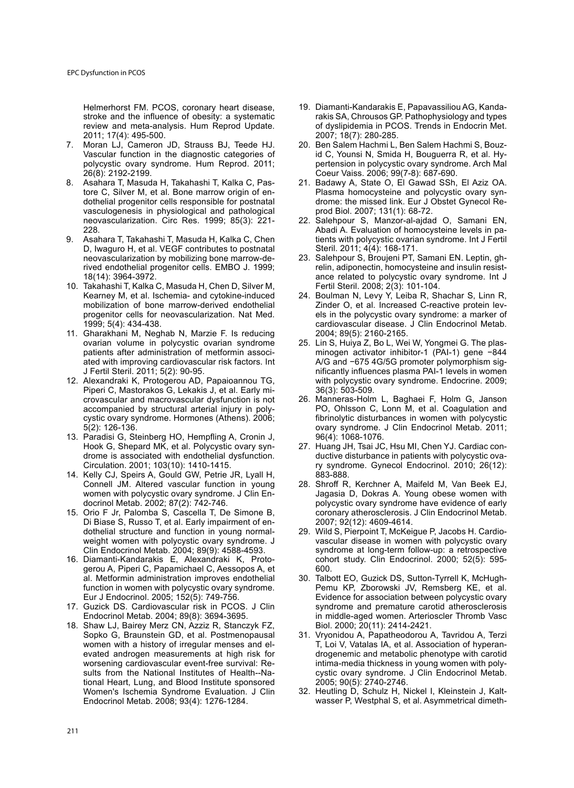Helmerhorst FM. PCOS, coronary heart disease, stroke and the influence of obesity: a systematic review and meta-analysis. Hum Reprod Update. 2011; 17(4): 495-500.

- 7. Moran LJ. Cameron JD. Strauss BJ. Teede HJ. Vascular function in the diagnostic categories of polycystic ovary syndrome. Hum Reprod. 2011; 26(8): 2192-2199.
- dothelial progenitor cells responsible for postnataltore C. Silver M. et al. Bone marrow origin of en-8. Asahara T, Masuda H, Takahashi T, Kalka C, Pasvasculogenesis in physiological and pathological neovascularization. Circ Res. 1999; 85(3): 221-228.
- 9. Asahara T. Takahashi T. Masuda H. Kalka C. Chen D, Iwaguro H, et al. VEGF contributes to postnatal rived endothelial progenitor cells. EMBO J. 1999; neovascularization by mobilizing bone marrow-de-18(14): 3964-3972.
- 10. Takahashi T, Kalka C, Masuda H, Chen D, Silver M, Kearney M, et al. Ischemia- and cytokine-induced mobilization of bone marrow-derived endothelial progenitor cells for neovascularization. Nat Med. 1999; 5(4): 434-438.
- 11. Gharakhani M, Neghab N, Marzie F. Is reducing ovarian volume in polycystic ovarian syndrome ated with improving cardiovascular risk factors. Int patients after administration of metformin associ-J Fertil Steril. 2011; 5(2): 90-95.
- 12. Alexandraki K, Protogerou AD, Papaioannou TG, crovascular and macrovascular dysfunction is not Piperi C, Mastorakos G, Lekakis J, et al. Early micystic ovary syndrome. Hormones (Athens). 2006; accompanied by structural arterial injury in poly-5(2): 126-136.
- 13. Paradisi G, Steinberg HO, Hempfling A, Cronin J, drome is associated with endothelial dysfunction. Hook G, Shepard MK, et al. Polycystic ovary syn-Circulation. 2001; 103(10): 1410-1415.
- 14. Kelly CJ, Speirs A, Gould GW, Petrie JR, Lyall H, Connell JM. Altered vascular function in young women with polycystic ovary syndrome. J Clin En-<br>docrinol Metab. 2002; 87(2): 742-746.
- 15. Orio F Jr, Palomba S, Cascella T, De Simone B, weight women with polycystic ovary syndrome. J dothelial structure and function in young normal-Di Biase S, Russo T, et al. Early impairment of en-Clin Endocrinol Metab. 2004; 89(9): 4588-4593.
- gerou A, Piperi C, Papamichael C, Aessopos A, et 16. Diamanti-Kandarakis E, Alexandraki K, Protoal. Metformin administration improves endothelial function in women with polycystic ovary syndrome. Eur J Endocrinol. 2005; 152(5): 749-756.
- 17. Guzick DS. Cardiovascular risk in PCOS. J Clin Endocrinol Metab. 2004; 89(8): 3694-3695.
- 18. Shaw LJ, Bairey Merz CN, Azziz R, Stanczyk FZ, Sopko G, Braunstein GD, et al. Postmenopausal evated androgen measurements at high risk for women with a history of irregular menses and eltional Heart, Lung, and Blood Institute sponsored sults from the National Institutes of Health--Naworsening cardiovascular event-free survival: Re-Women's Ischemia Syndrome Evaluation. J Clin Endocrinol Metab. 2008; 93(4): 1276-1284.
- rakis SA, Chrousos GP. Pathophysiology and types 19. Diamanti-Kandarakis E, Papavassiliou AG, Kandaof dyslipidemia in PCOS. Trends in Endocrin Met. 2007; 18(7): 280-285.
- pertension in polycystic ovary syndrome. Arch Mal id C, Younsi N, Smida H, Bouguerra R, et al. Hy-20. Ben Salem Hachmi L, Ben Salem Hachmi S. Bouz-Coeur Vaiss. 2006; 99(7-8): 687-690.
- 21. Badawy A, State O, El Gawad SSh, El Aziz OA. drome: the missed link. Eur J Obstet Gynecol Re-<br>prod Biol. 2007; 131(1): 68-72. drome: the missed link. Eur J Obstet Gynecol Re-Plasma homocysteine and polycystic ovary syn-
- 22. Salehpour S, Manzor-al-ajdad O, Samani EN, tients with polycystic ovarian syndrome. Int J Fertil Abadi A. Evaluation of homocysteine levels in pa-Steril. 2011; 4(4): 168-171.
- ance related to polycystic ovary syndrome. Int J relin, adiponectin, homocysteine and insulin resist-23. Salehpour S, Broujeni PT, Samani EN. Leptin, gh-Fertil Steril. 2008; 2(3): 101-104.
- 24. Boulman N, Levy Y, Leiba R, Shachar S, Linn R, els in the polycystic ovary syndrome: a marker of Zinder O, et al. Increased C-reactive protein levcardiovascular disease. J Clin Endocrinol Metab. 2004; 89(5): 2160-2165.
- minogen activator inhibitor-1 (PAI-1) gene -844 25. Lin S, Huiya Z, Bo L, Wei W, Yongmei G. The plasnificantly influences plasma PAI-1 levels in women A/G and −675 4G/5G promoter polymorphism sigwith polycystic ovary syndrome. Endocrine. 2009; 36(3): 503-509.
- 26. Manneras-Holm L, Baghaei F, Holm G, Janson PO, Ohlsson C, Lonn M, et al. Coagulation and fibrinolytic disturbances in women with polycystic ovary syndrome. J Clin Endocrinol Metab. 2011; 96(4): 1068-1076.
- ry syndrome. Gynecol Endocrinol. 2010; 26(12): ductive disturbance in patients with polycystic ova-27. Huang JH, Tsai JC, Hsu MI, Chen YJ. Cardiac con-883-888.
- 28. Shroff R, Kerchner A, Maifeld M, Van Beek EJ, Jagasia D, Dokras A. Young obese women with polycystic ovary syndrome have evidence of early coronary atherosclerosis. J Clin Endocrinol Metab. 2007; 92(12): 4609-4614.
- 29. Wild S, Pierpoint T, McKeigue P, Jacobs H. Cardio-<br>vascular disease in women with polycystic ovary syndrome at long-term follow-up: a retrospective cohort study. Clin Endocrinol. 2000; 52(5): 595-600.
- 30. Talbott EO, Guzick DS, Sutton-Tyrrell K, McHugh-<br>Pemu-KP, Zborowski JV, Remsberg KE, et al. Evidence for association between polycystic ovary syndrome and premature carotid atherosclerosis in middle-aged women. Arterioscler Thromb Vasc Biol. 2000; 20(11): 2414-2421.
- 31. Vryonidou A, Papatheodorou A, Tavridou A, Terzi drogenemic and metabolic phenotype with carotid T, Loi V, Vatalas IA, et al. Association of hyperancystic ovary syndrome. J Clin Endocrinol Metab. intima-media thickness in young women with poly-2005; 90(5): 2740-2746.
- 32. Heutling D, Schulz H, Nickel I, Kleinstein J, Kalt-<br>wasser P, Westphal S, et al. Asymmetrical dimeth-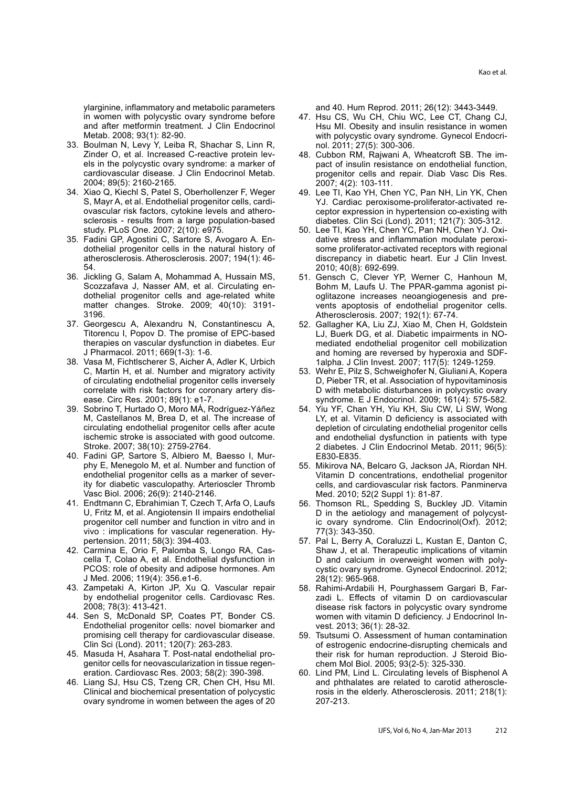ylarginine, inflammatory and metabolic parameters in women with polycystic ovary syndrome before and after metformin treatment. J Clin Endocrinol Metab. 2008; 93(1): 82-90.

- 33. Boulman N, Levy Y, Leiba R, Shachar S, Linn R. els in the polycystic ovary syndrome: a marker of Zinder O, et al. Increased C-reactive protein levcardiovascular disease. J Clin Endocrinol Metab. 2004; 89(5): 2160-2165.
- 34. Xiao Q. Kiechl S. Patel S. Oberhollenzer F. Weger sclerosis - results from a large population-based ovascular risk factors, cytokine levels and athero-S, Mayr A, et al. Endothelial progenitor cells, cardistudy. PLoS One. 2007; 2(10): e975.
- dothelial progenitor cells in the natural history of 35. Fadini GP, Agostini C, Sartore S, Avogaro A. Enatherosclerosis. Atherosclerosis. 2007; 194(1): 46-54.
- 36. Jickling G, Salam A, Mohammad A, Hussain MS, dothelial progenitor cells and age-related white Scozzafava J. Nasser AM, et al. Circulating enmatter changes. Stroke. 2009; 40(10): 3191-3196.
- 37. Georgescu A, Alexandru N, Constantinescu A, Titorencu I, Popov D. The promise of EPC-based therapies on vascular dysfunction in diabetes. Eur J Pharmacol. 2011; 669(1-3): 1-6.
- 38. Vasa M, Fichtlscherer S, Aicher A, Adler K, Urbich C, Martin H, et al. Number and migratory activity of circulating endothelial progenitor cells inversely correlate with risk factors for coronary artery dis-<br>ease. Circ Res. 2001; 89(1): e1-7.
- 39. Sobrino T, Hurtado O, Moro MÁ, Rodríguez-Yáñez M, Castellanos M, Brea D, et al. The increase of circulating endothelial progenitor cells after acute ischemic stroke is associated with good outcome. Stroke. 2007; 38(10): 2759-2764.
- phy E, Menegolo M, et al. Number and function of 40. Fadini GP, Sartore S, Albiero M, Baesso I, Murity for diabetic vasculopathy. Arterioscler Thromb endothelial progenitor cells as a marker of sever-Vasc Biol. 2006; 26(9): 2140-2146.
- 41. Endtmann C, Ebrahimian T, Czech T, Arfa O, Laufs U. Fritz M. et al. Angiotensin II impairs endothelial progenitor cell number and function in vitro and in vivo : implications for vascular regeneration. Hy-<br>pertension. 2011; 58(3): 394-403.
- 42. Carmina E, Orio F, Palomba S, Longo RA, Cas-<br>cella T, Colao A, et al. Endothelial dysfunction in PCOS: role of obesity and adipose hormones. Am J Med. 2006; 119(4): 356. e1-6.
- 43. Zampetaki A, Kirton JP, Xu Q. Vascular repair by endothelial progenitor cells. Cardiovasc Res. 2008; 78(3): 413-421.
- 44. Sen S, McDonald SP, Coates PT, Bonder CS. Endothelial progenitor cells: novel biomarker and promising cell therapy for cardiovascular disease. Clin Sci (Lond). 2011; 120(7): 263-283.
- eration. Cardiovasc Res. 2003; 58(2): 390-398. genitor cells for neovascularization in tissue regen-45. Masuda H, Asahara T. Post-natal endothelial pro-
- 46. Liang SJ, Hsu CS, Tzeng CR, Chen CH, Hsu MI. Clinical and biochemical presentation of polycystic ovary syndrome in women between the ages of 20

and 40. Hum Reprod. 2011; 26(12): 3443-3449.

- 47. Hsu CS, Wu CH, Chiu WC, Lee CT, Chang CJ, Hsu MI. Obesity and insulin resistance in women with polycystic ovary syndrome. Gynecol Endocri-<br>nol. 2011; 27(5): 300-306.
- pact of insulin resistance on endothelial function, 48. Cubbon RM, Rajwani A, Wheatcroft SB. The improgenitor cells and repair. Diab Vasc Dis Res. 2007; 4(2): 103-111.
- 49. Lee TI, Kao YH, Chen YC, Pan NH, Lin YK, Chen ceptor expression in hypertension co-existing with YJ. Cardiac peroxisome-proliferator-activated rediabetes. Clin Sci (Lond). 2011; 121(7): 305-312.
- some proliferator-activated receptors with regional dative stress and inflammation modulate peroxi-50. Lee TI, Kao YH, Chen YC, Pan NH, Chen YJ. Oxidiscrepancy in diabetic heart. Eur J Clin Invest. 2010; 40(8): 692-699.
- 51. Gensch C, Clever YP, Werner C, Hanhoun M, vents apoptosis of endothelial progenitor cells. oglitazone increases neoangiogenesis and pre-Bohm M, Laufs U. The PPAR-gamma agonist pi-Atherosclerosis. 2007; 192(1): 67-74.
- 52. Gallagher KA, Liu ZJ, Xiao M, Chen H, Goldstein mediated endothelial progenitor cell mobilization<br>and homing are reversed by hyperoxia and SDF-LJ, Buerk DG, et al. Diabetic impairments in NOand homing are reversed by hyperoxia and SDF-<br>1alpha. J Clin Invest. 2007; 117(5): 1249-1259.
- 53. Wehr E, Pilz S, Schweighofer N, Giuliani A, Kopera D, Pieber TR, et al. Association of hypovitaminosis D with metabolic disturbances in polycystic ovary syndrome. E J Endocrinol. 2009; 161(4): 575-582.
- 54. Yiu YF, Chan YH, Yiu KH, Siu CW, Li SW, Wong LY, et al. Vitamin D deficiency is associated with depletion of circulating endothelial progenitor cells and endothelial dysfunction in patients with type 2 diabetes. J Clin Endocrinol Metab. 2011; 96(5): E830-E835.
- 55. Mikirova NA, Belcaro G, Jackson JA, Riordan NH. Vitamin D concentrations, endothelial progenitor cells, and cardiovascular risk factors. Panminerva Med. 2010; 52(2 Suppl 1): 81-87.
- 56. Thomson RL, Spedding S, Buckley JD. Vitamin ic ovary syndrome. Clin Endocrinol(Oxf). 2012; D in the aetiology and management of polycyst-77(3): 343-350.
- 57. Pal L, Berry A, Coraluzzi L, Kustan E, Danton C, Shaw J, et al. Therapeutic implications of vitamin cystic ovary syndrome. Gynecol Endocrinol. 2012; D and calcium in overweight women with poly-28(12): 965-968.
- zadi L. Effects of vitamin D on cardiovascular 58. Rahimi-Ardabili H, Pourghassem Gargari B, Fardisease risk factors in polycystic ovary syndrome women with vitamin D deficiency. J Endocrinol In-<br>vest. 2013; 36(1): 28-32.
- 59. Tsutsumi O. Assessment of human contamination of estrogenic endocrine-disrupting chemicals and their risk for human reproduction. J Steroid Bio-<br>chem Mol Biol. 2005; 93(2-5): 325-330.
- 60. Lind PM, Lind L. Circulating levels of Bisphenol A rosis in the elderly. Atherosclerosis. 2011; 218(1): and phthalates are related to carotid atheroscle-207-213.